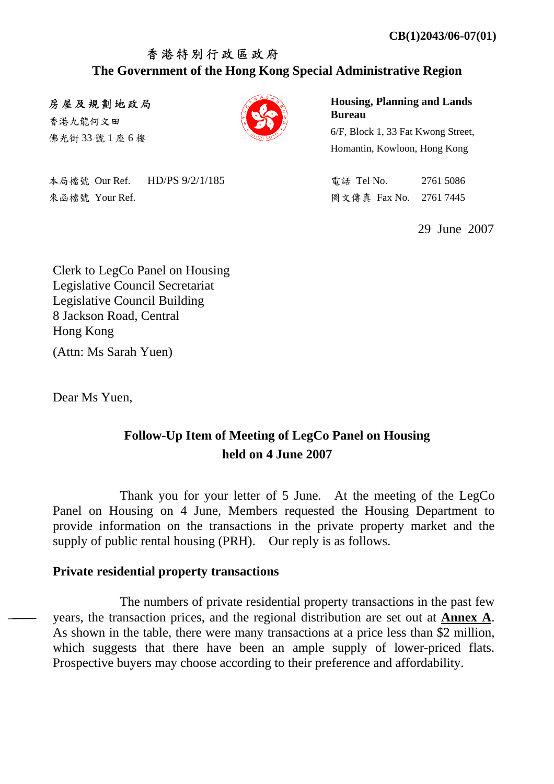## 香港特別行政區政府 **The Government of the Hong Kong Special Administrative Region**

房屋及規劃地政局

香港九龍何文田 佛光街 33 號 1 座 6 樓



本局檔號 Our Ref. HD/PS 9/2/1/185 電話 Tel No. 2761 5086 来函檔號 Your Ref. 2761 7445

**Housing, Planning and Lands Bureau** 

6/F, Block 1, 33 Fat Kwong Street, Homantin, Kowloon, Hong Kong

29 June 2007

Clerk to LegCo Panel on Housing Legislative Council Secretariat Legislative Council Building 8 Jackson Road, Central Hong Kong (Attn: Ms Sarah Yuen)

Dear Ms Yuen,

## **Follow-Up Item of Meeting of LegCo Panel on Housing held on 4 June 2007**

 Thank you for your letter of 5 June. At the meeting of the LegCo Panel on Housing on 4 June, Members requested the Housing Department to provide information on the transactions in the private property market and the supply of public rental housing (PRH). Our reply is as follows.

### **Private residential property transactions**

 The numbers of private residential property transactions in the past few years, the transaction prices, and the regional distribution are set out at **Annex A**. As shown in the table, there were many transactions at a price less than \$2 million, which suggests that there have been an ample supply of lower-priced flats. Prospective buyers may choose according to their preference and affordability.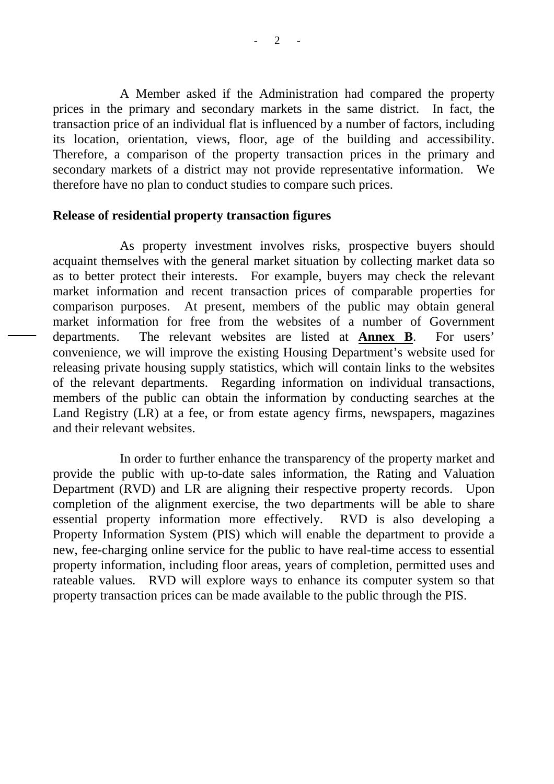A Member asked if the Administration had compared the property prices in the primary and secondary markets in the same district. In fact, the transaction price of an individual flat is influenced by a number of factors, including its location, orientation, views, floor, age of the building and accessibility. Therefore, a comparison of the property transaction prices in the primary and secondary markets of a district may not provide representative information. We therefore have no plan to conduct studies to compare such prices.

#### **Release of residential property transaction figures**

 As property investment involves risks, prospective buyers should acquaint themselves with the general market situation by collecting market data so as to better protect their interests. For example, buyers may check the relevant market information and recent transaction prices of comparable properties for comparison purposes. At present, members of the public may obtain general market information for free from the websites of a number of Government departments. The relevant websites are listed at **Annex B**. For users' convenience, we will improve the existing Housing Department's website used for releasing private housing supply statistics, which will contain links to the websites of the relevant departments. Regarding information on individual transactions, members of the public can obtain the information by conducting searches at the Land Registry (LR) at a fee, or from estate agency firms, newspapers, magazines and their relevant websites.

In order to further enhance the transparency of the property market and provide the public with up-to-date sales information, the Rating and Valuation Department (RVD) and LR are aligning their respective property records. Upon completion of the alignment exercise, the two departments will be able to share essential property information more effectively. RVD is also developing a Property Information System (PIS) which will enable the department to provide a new, fee-charging online service for the public to have real-time access to essential property information, including floor areas, years of completion, permitted uses and rateable values. RVD will explore ways to enhance its computer system so that property transaction prices can be made available to the public through the PIS.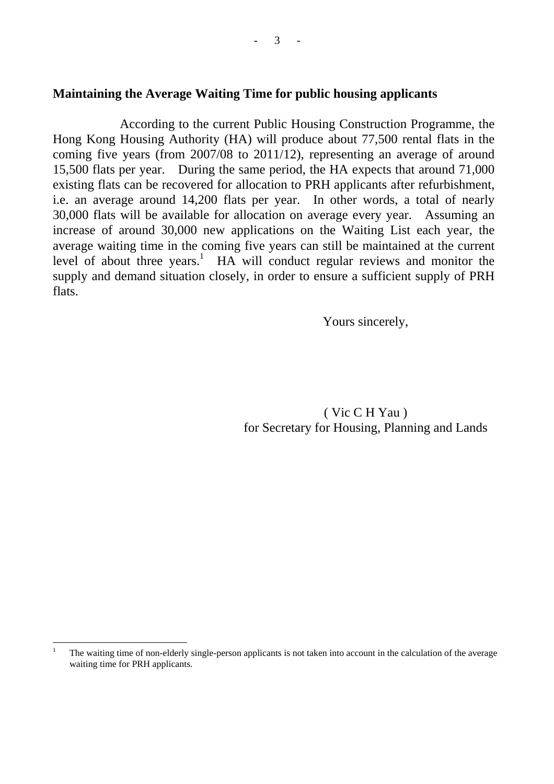#### **Maintaining the Average Waiting Time for public housing applicants**

 According to the current Public Housing Construction Programme, the Hong Kong Housing Authority (HA) will produce about 77,500 rental flats in the coming five years (from 2007/08 to 2011/12), representing an average of around 15,500 flats per year. During the same period, the HA expects that around 71,000 existing flats can be recovered for allocation to PRH applicants after refurbishment, i.e. an average around 14,200 flats per year. In other words, a total of nearly 30,000 flats will be available for allocation on average every year. Assuming an increase of around 30,000 new applications on the Waiting List each year, the average waiting time in the coming five years can still be maintained at the current level of about three years.<sup>1</sup> HA will conduct regular reviews and monitor the supply and demand situation closely, in order to ensure a sufficient supply of PRH flats.

Yours sincerely,

 ( Vic C H Yau ) for Secretary for Housing, Planning and Lands

 $\frac{1}{1}$  The waiting time of non-elderly single-person applicants is not taken into account in the calculation of the average waiting time for PRH applicants.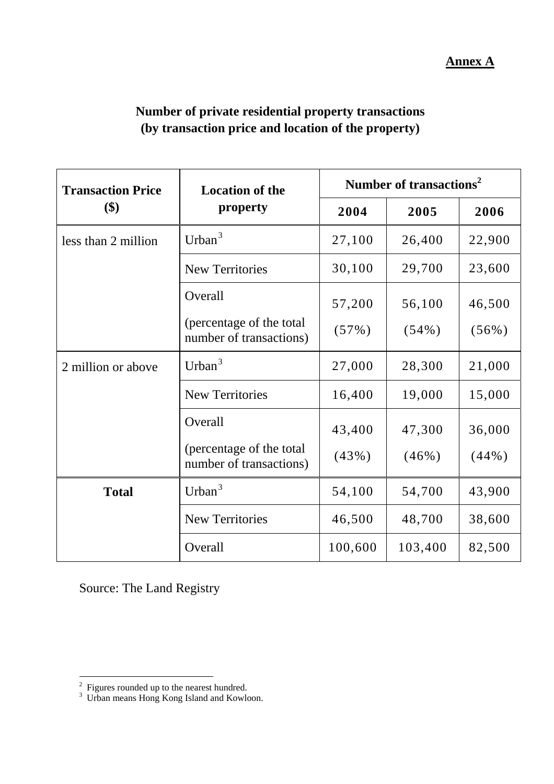# **Annex A**

| Number of private residential property transactions |  |
|-----------------------------------------------------|--|
| (by transaction price and location of the property) |  |

| <b>Transaction Price</b> | <b>Location of the</b>                               | Number of transactions <sup>2</sup> |          |          |
|--------------------------|------------------------------------------------------|-------------------------------------|----------|----------|
| \$)<br>property          |                                                      | 2004                                | 2005     | 2006     |
| less than 2 million      | Urban $3$                                            | 27,100                              | 26,400   | 22,900   |
|                          | <b>New Territories</b>                               | 30,100                              | 29,700   | 23,600   |
|                          | Overall                                              | 57,200                              | 56,100   | 46,500   |
|                          | (percentage of the total)<br>number of transactions) | (57%)                               | $(54\%)$ | $(56\%)$ |
| 2 million or above       | Urban $3$                                            | 27,000                              | 28,300   | 21,000   |
|                          | <b>New Territories</b>                               | 16,400                              | 19,000   | 15,000   |
|                          | Overall                                              | 43,400                              | 47,300   | 36,000   |
|                          | (percentage of the total<br>number of transactions)  | (43%)                               | $(46\%)$ | $(44\%)$ |
| <b>Total</b>             | Urban $3$                                            | 54,100                              | 54,700   | 43,900   |
|                          | <b>New Territories</b>                               | 46,500                              | 48,700   | 38,600   |
|                          | Overall                                              | 100,600                             | 103,400  | 82,500   |

Source: The Land Registry

<sup>&</sup>lt;sup>2</sup> Figures rounded up to the nearest hundred.<br><sup>3</sup> Urban means Hong Kong Island and Kowloon.